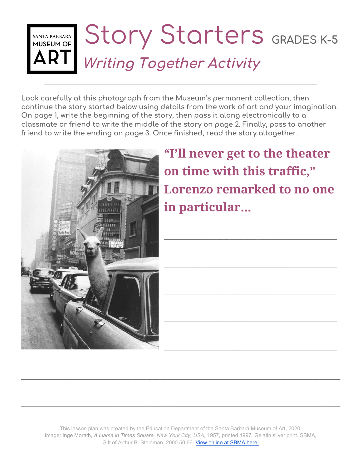## Story Starters **GRADES K-5** SANTA BARBARA<br>MUSEUM OF **Writing Together Activity**

**Look carefully at this photograph from the Museum's permanent collection, then continue the story started below using details from the work of art and your imagination. On page 1, write the beginning of the story, then pass it along electronically to a classmate or friend to write the middle of the story on page 2. Finally, pass to another friend to write the ending on page 3. Once finished, read the story altogether.**



**"I'll never get to the theater on time with this traffic, " Lorenzo remarked to no one in particular**…

**\_\_\_\_\_\_\_\_\_\_\_\_\_\_\_\_\_\_\_\_\_\_\_\_\_\_\_\_\_\_\_\_\_\_\_\_\_\_\_\_\_\_\_\_\_\_\_\_\_\_\_\_\_\_\_\_\_\_**

**\_\_\_\_\_\_\_\_\_\_\_\_\_\_\_\_\_\_\_\_\_\_\_\_\_\_\_\_\_\_\_\_\_\_\_\_\_\_\_\_\_\_\_\_\_\_\_\_\_\_\_\_\_\_\_\_\_\_**

**\_\_\_\_\_\_\_\_\_\_\_\_\_\_\_\_\_\_\_\_\_\_\_\_\_\_\_\_\_\_\_\_\_\_\_\_\_\_\_\_\_\_\_\_\_\_\_\_\_\_\_\_\_\_\_\_\_\_**

**\_\_\_\_\_\_\_\_\_\_\_\_\_\_\_\_\_\_\_\_\_\_\_\_\_\_\_\_\_\_\_\_\_\_\_\_\_\_\_\_\_\_\_\_\_\_\_\_\_\_\_\_\_\_\_\_\_\_**

**\_\_\_\_\_\_\_\_\_\_\_\_\_\_\_\_\_\_\_\_\_\_\_\_\_\_\_\_\_\_\_\_\_\_\_\_\_\_\_\_\_\_\_\_\_\_\_\_\_\_\_\_\_\_\_\_\_\_**

This lesson plan was created by the Education Department of the Santa Barbara Museum of Art, 2020. Image: Inge Morath, *A Llama in Times Square, New York City, USA*, 1957, printed 1997. Gelatin silver print. SBMA, Gift of Arthur B. Steinman, 2000.50.66. [View online at SBMA here!](http://collections.sbma.net/objects/22267/a-llama-in-times-square-new-york-city-usa?ctx=db7cb2fa-e52e-4414-a77f-c1b614abb61a&idx=9)

**\_\_\_\_\_\_\_\_\_\_\_\_\_\_\_\_\_\_\_\_\_\_\_\_\_\_\_\_\_\_\_\_\_\_\_\_\_\_\_\_\_\_\_\_\_\_\_\_\_\_\_\_\_\_\_\_\_\_\_\_\_\_\_\_\_\_\_\_\_\_\_\_\_\_\_\_\_\_\_\_\_\_\_\_\_\_\_\_\_\_\_\_\_\_\_\_\_\_\_\_\_\_\_\_\_\_\_**

**\_\_\_\_\_\_\_\_\_\_\_\_\_\_\_\_\_\_\_\_\_\_\_\_\_\_\_\_\_\_\_\_\_\_\_\_\_\_\_\_\_\_\_\_\_\_\_\_\_\_\_\_\_\_\_\_\_\_\_\_\_\_\_\_\_\_\_\_\_\_\_\_\_\_\_\_\_\_\_\_\_\_\_\_\_\_\_\_\_\_\_\_\_\_\_\_\_\_\_\_\_\_\_\_\_\_\_**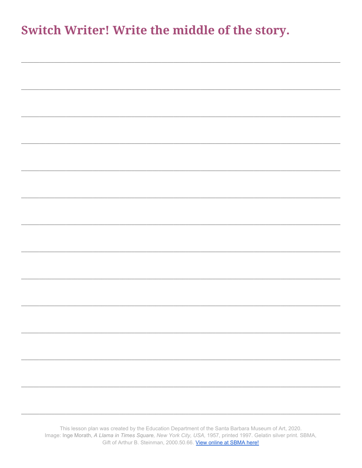## Switch Writer! Write the middle of the story.

| This lesson plan was created by the Education Department of the Santa Barbara Museum of Art, 2020. |  |
|----------------------------------------------------------------------------------------------------|--|
|                                                                                                    |  |

Image: Inge Morath, A Llama in Times Square, New York City, USA, 1957, printed 1997. Gelatin silver print. SBMA, Gift of Arthur B. Steinman, 2000.50.66. View online at SBMA here!